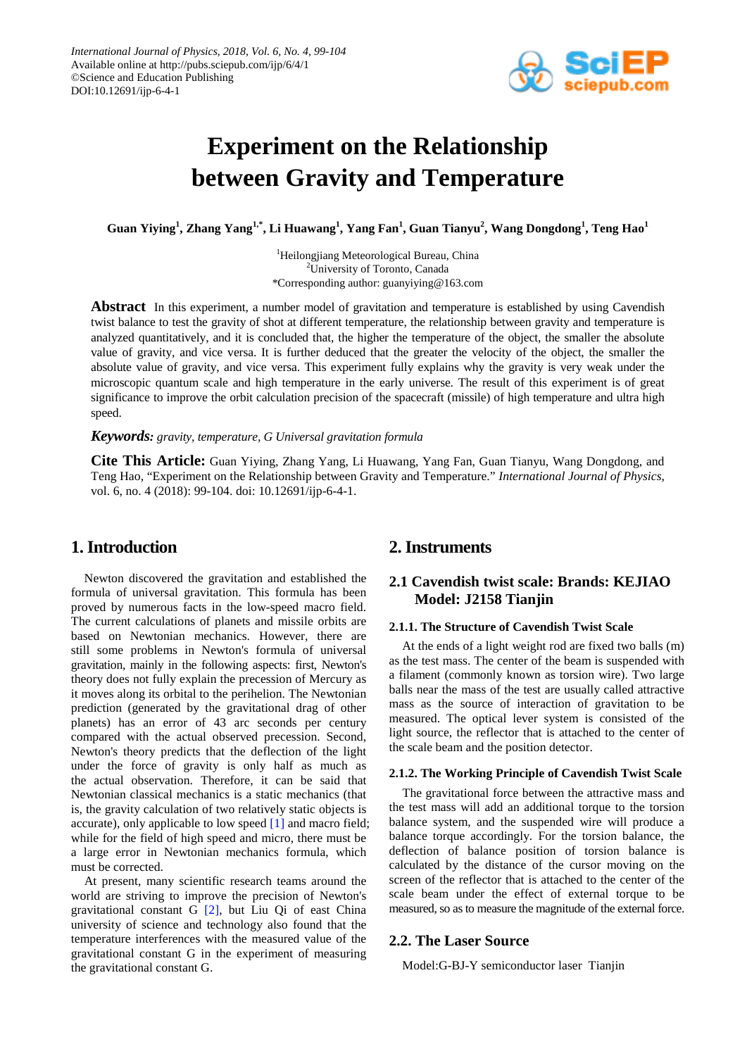

# **Experiment on the Relationship between Gravity and Temperature**

**Guan Yiying<sup>1</sup> , Zhang Yang1,\*, Li Huawang1 , Yang Fan1 , Guan Tianyu2 , Wang Dongdong<sup>1</sup> , Teng Hao<sup>1</sup>**

<sup>1</sup>Heilongjiang Meteorological Bureau, China <sup>2</sup>University of Toronto, Canada \*Corresponding author: guanyiying@163.com

**Abstract** In this experiment, a number model of gravitation and temperature is established by using Cavendish twist balance to test the gravity of shot at different temperature, the relationship between gravity and temperature is analyzed quantitatively, and it is concluded that, the higher the temperature of the object, the smaller the absolute value of gravity, and vice versa. It is further deduced that the greater the velocity of the object, the smaller the absolute value of gravity, and vice versa. This experiment fully explains why the gravity is very weak under the microscopic quantum scale and high temperature in the early universe. The result of this experiment is of great significance to improve the orbit calculation precision of the spacecraft (missile) of high temperature and ultra high speed.

#### *Keywords: gravity, temperature, G Universal gravitation formula*

**Cite This Article:** Guan Yiying, Zhang Yang, Li Huawang, Yang Fan, Guan Tianyu, Wang Dongdong, and Teng Hao, "Experiment on the Relationship between Gravity and Temperature." *International Journal of Physics*, vol. 6, no. 4 (2018): 99-104. doi: 10.12691/ijp-6-4-1.

# **1. Introduction**

Newton discovered the gravitation and established the formula of universal gravitation. This formula has been proved by numerous facts in the low-speed macro field. The current calculations of planets and missile orbits are based on Newtonian mechanics. However, there are still some problems in Newton's formula of universal gravitation, mainly in the following aspects: first, Newton's theory does not fully explain the precession of Mercury as it moves along its orbital to the perihelion. The Newtonian prediction (generated by the gravitational drag of other planets) has an error of 43 arc seconds per century compared with the actual observed precession. Second, Newton's theory predicts that the deflection of the light under the force of gravity is only half as much as the actual observation. Therefore, it can be said that Newtonian classical mechanics is a static mechanics (that is, the gravity calculation of two relatively static objects is accurate), only applicable to low speed [\[1\]](#page-5-0) and macro field; while for the field of high speed and micro, there must be a large error in Newtonian mechanics formula, which must be corrected.

At present, many scientific research teams around the world are striving to improve the precision of Newton's gravitational constant G [\[2\],](#page-5-1) but Liu Qi of east China university of science and technology also found that the temperature interferences with the measured value of the gravitational constant G in the experiment of measuring the gravitational constant G.

## **2.Instruments**

### **2.1 Cavendish twist scale: Brands: KEJIAO Model: J2158 Tianjin**

#### **2.1.1. The Structure of Cavendish Twist Scale**

At the ends of a light weight rod are fixed two balls (m) as the test mass. The center of the beam is suspended with a filament (commonly known as torsion wire). Two large balls near the mass of the test are usually called attractive mass as the source of interaction of gravitation to be measured. The optical lever system is consisted of the light source, the reflector that is attached to the center of the scale beam and the position detector.

#### **2.1.2. The Working Principle of Cavendish Twist Scale**

The gravitational force between the attractive mass and the test mass will add an additional torque to the torsion balance system, and the suspended wire will produce a balance torque accordingly. For the torsion balance, the deflection of balance position of torsion balance is calculated by the distance of the cursor moving on the screen of the reflector that is attached to the center of the scale beam under the effect of external torque to be measured, so as to measure the magnitude of the external force.

#### **2.2. The Laser Source**

Model:G-BJ-Y semiconductor laser Tianjin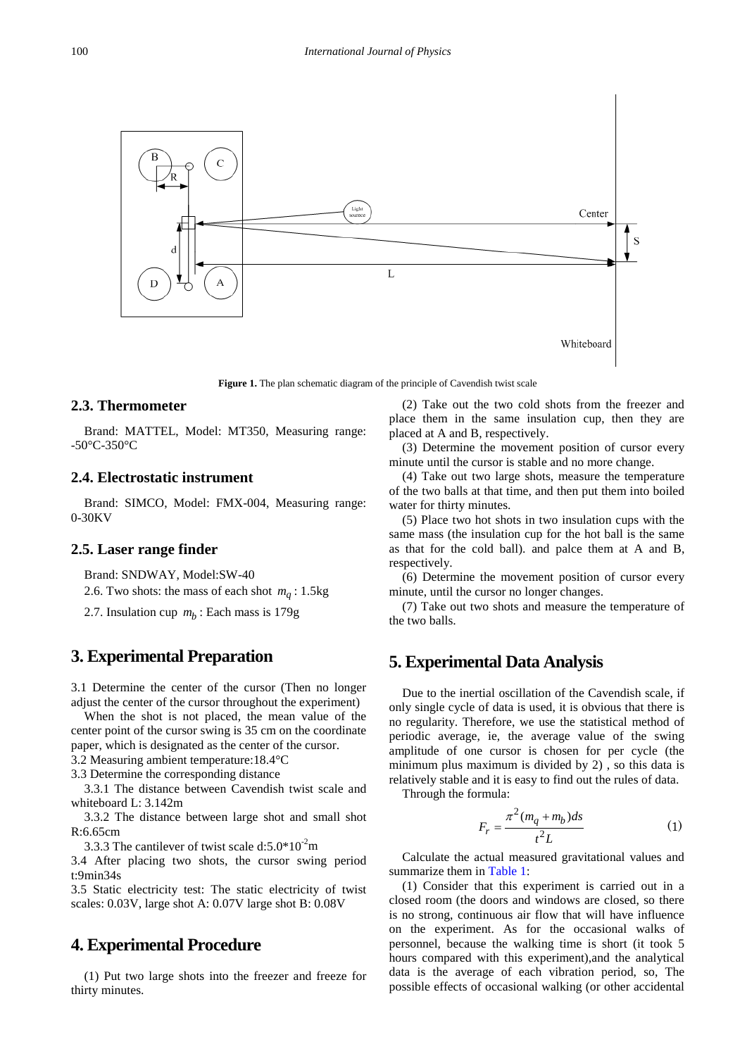

Figure 1. The plan schematic diagram of the principle of Cavendish twist scale

### **2.3. Thermometer**

Brand: MATTEL, Model: MT350, Measuring range: -50°C-350°C

#### **2.4. Electrostatic instrument**

Brand: SIMCO, Model: FMX-004, Measuring range: 0-30KV

#### **2.5. Laser range finder**

Brand: SNDWAY, Model:SW-40

- 2.6. Two shots: the mass of each shot  $m_a$ : 1.5kg
- 2.7. Insulation cup  $m_b$ : Each mass is 179g

### **3. Experimental Preparation**

3.1 Determine the center of the cursor (Then no longer adjust the center of the cursor throughout the experiment)

When the shot is not placed, the mean value of the center point of the cursor swing is 35 cm on the coordinate paper, which is designated as the center of the cursor.

3.2 Measuring ambient temperature:18.4°C

3.3 Determine the corresponding distance

3.3.1 The distance between Cavendish twist scale and whiteboard L: 3.142m

3.3.2 The distance between large shot and small shot  $R:6.65cm$ 

3.3.3 The cantilever of twist scale  $d:5.0*10<sup>-2</sup>m$ 

3.4 After placing two shots, the cursor swing period t:9min34s

3.5 Static electricity test: The static electricity of twist scales: 0.03V, large shot A: 0.07V large shot B: 0.08V

### **4. Experimental Procedure**

(1) Put two large shots into the freezer and freeze for thirty minutes.

(2) Take out the two cold shots from the freezer and place them in the same insulation cup, then they are placed at A and B, respectively.

(3) Determine the movement position of cursor every minute until the cursor is stable and no more change.

(4) Take out two large shots, measure the temperature of the two balls at that time, and then put them into boiled water for thirty minutes.

(5) Place two hot shots in two insulation cups with the same mass (the insulation cup for the hot ball is the same as that for the cold ball). and palce them at A and B, respectively.

(6) Determine the movement position of cursor every minute, until the cursor no longer changes.

(7) Take out two shots and measure the temperature of the two balls.

### **5. Experimental Data Analysis**

Due to the inertial oscillation of the Cavendish scale, if only single cycle of data is used, it is obvious that there is no regularity. Therefore, we use the statistical method of periodic average, ie, the average value of the swing amplitude of one cursor is chosen for per cycle (the minimum plus maximum is divided by 2) , so this data is relatively stable and it is easy to find out the rules of data.

Through the formula:

$$
F_r = \frac{\pi^2 (m_q + m_b) ds}{t^2 L} \tag{1}
$$

Calculate the actual measured gravitational values and summarize them in [Table 1:](#page-2-0)

(1) Consider that this experiment is carried out in a closed room (the doors and windows are closed, so there is no strong, continuous air flow that will have influence on the experiment. As for the occasional walks of personnel, because the walking time is short (it took 5 hours compared with this experiment),and the analytical data is the average of each vibration period, so, The possible effects of occasional walking (or other accidental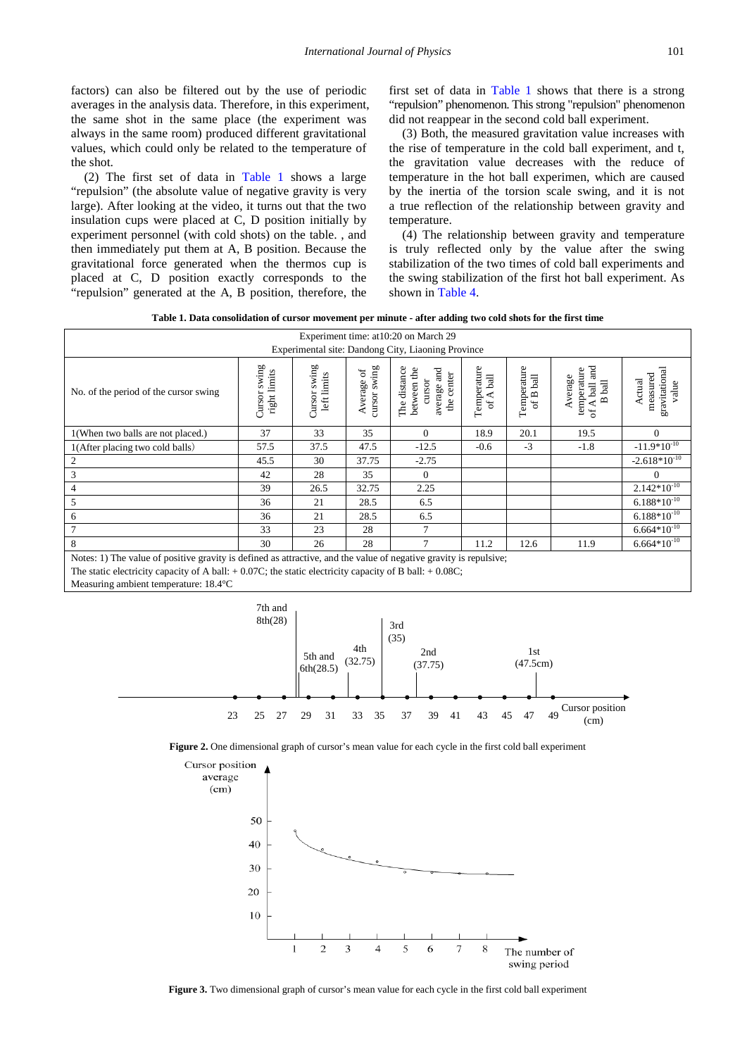factors) can also be filtered out by the use of periodic averages in the analysis data. Therefore, in this experiment, the same shot in the same place (the experiment was always in the same room) produced different gravitational values, which could only be related to the temperature of the shot.

(2) The first set of data in [Table 1](#page-2-0) shows a large "repulsion" (the absolute value of negative gravity is very large). After looking at the video, it turns out that the two insulation cups were placed at C, D position initially by experiment personnel (with cold shots) on the table. , and then immediately put them at A, B position. Because the gravitational force generated when the thermos cup is placed at C, D position exactly corresponds to the "repulsion" generated at the A, B position, therefore, the first set of data in [Table 1](#page-2-0) shows that there is a strong "repulsion" phenomenon. This strong "repulsion" phenomenon did not reappear in the second cold ball experiment.

(3) Both, the measured gravitation value increases with the rise of temperature in the cold ball experiment, and t, the gravitation value decreases with the reduce of temperature in the hot ball experimen, which are caused by the inertia of the torsion scale swing, and it is not a true reflection of the relationship between gravity and temperature.

(4) The relationship between gravity and temperature is truly reflected only by the value after the swing stabilization of the two times of cold ball experiments and the swing stabilization of the first hot ball experiment. As shown in [Table 4.](#page-4-0)

**Table 1. Data consolidation of cursor movement per minute - after adding two cold shots for the first time**

<span id="page-2-0"></span>

| Experiment time: at 10:20 on March 29<br>Experimental site: Dandong City, Liaoning Province                                                                                                                                        |                                 |                             |                            |                                                                    |                                     |                          |                                                              |                                              |
|------------------------------------------------------------------------------------------------------------------------------------------------------------------------------------------------------------------------------------|---------------------------------|-----------------------------|----------------------------|--------------------------------------------------------------------|-------------------------------------|--------------------------|--------------------------------------------------------------|----------------------------------------------|
| No. of the period of the cursor swing                                                                                                                                                                                              | swing<br>right limits<br>Cursor | Cursor swing<br>left limits | cursor swing<br>Average of | The distance<br>between the<br>average and<br>the center<br>cursor | Temperature<br><b>Lad</b><br>∢<br>đ | Temperature<br>of B ball | Бщ<br>temperature<br>Average<br><b>B</b> ball<br>A ball<br>đ | gravitational<br>measured<br>Actual<br>value |
| 1(When two balls are not placed.)                                                                                                                                                                                                  | 37                              | 33                          | 35                         | $\Omega$                                                           | 18.9                                | 20.1                     | 19.5                                                         | $\Omega$                                     |
| 1(After placing two cold balls)                                                                                                                                                                                                    | 57.5                            | 37.5                        | 47.5                       | $-12.5$                                                            | $-0.6$                              | $-3$                     | $-1.8$                                                       | $-11.9*10^{-10}$                             |
| $\overline{c}$                                                                                                                                                                                                                     | 45.5                            | 30                          | 37.75                      | $-2.75$                                                            |                                     |                          |                                                              | $-2.618*10^{-10}$                            |
| 3                                                                                                                                                                                                                                  | 42                              | 28                          | 35                         | $\Omega$                                                           |                                     |                          |                                                              | $\Omega$                                     |
| $\overline{4}$                                                                                                                                                                                                                     | 39                              | 26.5                        | 32.75                      | 2.25                                                               |                                     |                          |                                                              | $2.142*10^{-10}$                             |
| 5                                                                                                                                                                                                                                  | 36                              | 21                          | 28.5                       | 6.5                                                                |                                     |                          |                                                              | $6.188*10^{-10}$                             |
| 6                                                                                                                                                                                                                                  | 36                              | 21                          | 28.5                       | 6.5                                                                |                                     |                          |                                                              | $6.188*10-10$                                |
| $\overline{7}$                                                                                                                                                                                                                     | 33                              | 23                          | 28                         | 7                                                                  |                                     |                          |                                                              | $6.664*10-10$                                |
| 8                                                                                                                                                                                                                                  | 30                              | 26                          | 28                         | 7                                                                  | 11.2                                | 12.6                     | 11.9                                                         | $6.664*10^{10}$                              |
| Notes: 1) The value of positive gravity is defined as attractive, and the value of negative gravity is repulsive;<br>The static electricity capacity of A ball: $+ 0.07C$ ; the static electricity capacity of B ball: $+ 0.08C$ ; |                                 |                             |                            |                                                                    |                                     |                          |                                                              |                                              |

Measuring ambient temperature: 18.4°C



Figure 2. One dimensional graph of cursor's mean value for each cycle in the first cold ball experiment



**Figure 3.** Two dimensional graph of cursor's mean value for each cycle in the first cold ball experiment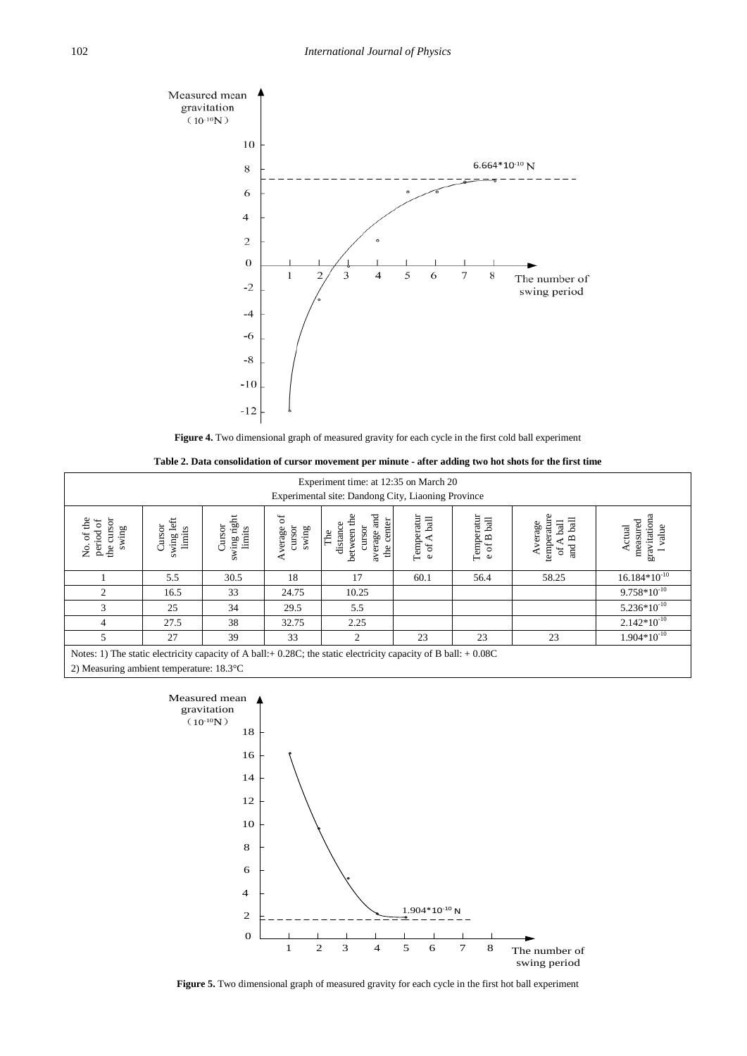

**Figure 4.** Two dimensional graph of measured gravity for each cycle in the first cold ball experiment



| Experiment time: at 12:35 on March 20<br>Experimental site: Dandong City, Liaoning Province                      |                                |                                 |                                |                                                                          |                                                            |                           |                                                            |                                             |
|------------------------------------------------------------------------------------------------------------------|--------------------------------|---------------------------------|--------------------------------|--------------------------------------------------------------------------|------------------------------------------------------------|---------------------------|------------------------------------------------------------|---------------------------------------------|
| the cursor<br>of the<br>period of<br>swing<br>Σó.                                                                | swing left<br>limits<br>Cursor | swing right<br>Cursor<br>limits | ъ<br>cursor<br>swing<br>verage | average and<br>the<br>the center<br>distance<br>cursor<br>between<br>The | Temperatur<br><b>ball</b><br>⋖<br>$\sigma$<br>$\mathbf{o}$ | Temperatur<br>e of B ball | temperature<br>and B ball<br>A ball<br>Average<br>$\sigma$ | gravitationa<br>measured<br>value<br>Actual |
|                                                                                                                  | 5.5                            | 30.5                            | 18                             | 17                                                                       | 60.1                                                       | 56.4                      | 58.25                                                      | $16.184*10^{-10}$                           |
| 2                                                                                                                | 16.5                           | 33                              | 24.75                          | 10.25                                                                    |                                                            |                           |                                                            | $9.758*10-10$                               |
| 3                                                                                                                | 25                             | 34                              | 29.5                           | 5.5                                                                      |                                                            |                           |                                                            | $5.236*10^{-10}$                            |
| $\overline{4}$                                                                                                   | 27.5                           | 38                              | 32.75                          | 2.25                                                                     |                                                            |                           |                                                            | $2.142*10^{-10}$                            |
| 5                                                                                                                | 27                             | 39                              | 33                             | $\overline{c}$                                                           | 23                                                         | 23                        | 23                                                         | $1.904*10^{-10}$                            |
| Notes: 1) The static electricity capacity of A ball: + 0.28C; the static electricity capacity of B ball: + 0.08C |                                |                                 |                                |                                                                          |                                                            |                           |                                                            |                                             |

2) Measuring ambient temperature: 18.3°C



**Figure 5.** Two dimensional graph of measured gravity for each cycle in the first hot ball experiment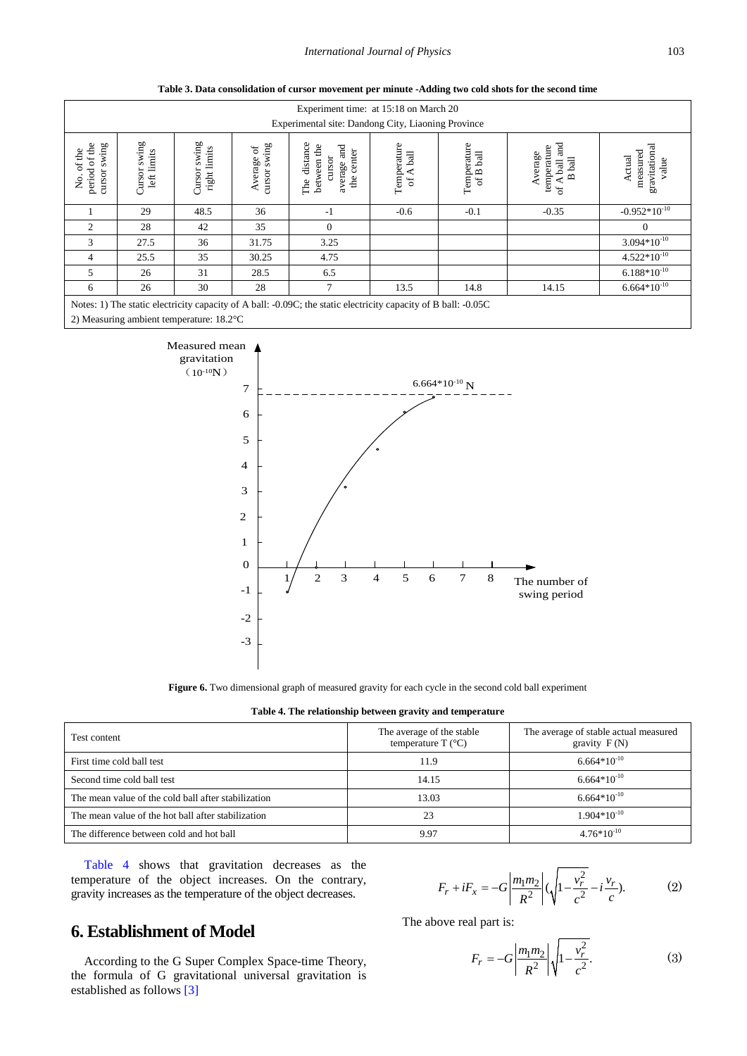**Table 3. Data consolidation of cursor movement per minute -Adding two cold shots for the second time**

| Experiment time: at 15:18 on March 20<br>Experimental site: Dandong City, Liaoning Province                    |                                |                                 |                                        |                                                                           |                            |                                                                              |                                                                 |                                              |
|----------------------------------------------------------------------------------------------------------------|--------------------------------|---------------------------------|----------------------------------------|---------------------------------------------------------------------------|----------------------------|------------------------------------------------------------------------------|-----------------------------------------------------------------|----------------------------------------------|
| period of the<br>swing<br>of the<br>cursor<br>Σó.                                                              | swing<br>left limits<br>Cursor | swing<br>right limits<br>Cursor | swing<br>$\sigma$<br>Average<br>cursor | distance<br>between the<br>average and<br>center<br>cursor<br>the.<br>The | Temperature<br>bal<br>of A | $\begin{array}{c} \mbox{Temperature} \\ \mbox{of B ball} \end{array}$<br>bal | and<br>temperature<br>Average<br>A ball a<br>B ball<br>$\sigma$ | gravitational<br>measured<br>Actual<br>value |
|                                                                                                                | 29                             | 48.5                            | 36                                     | $-1$                                                                      | $-0.6$                     | $-0.1$                                                                       | $-0.35$                                                         | $-0.952*10^{-10}$                            |
| 2                                                                                                              | 28                             | 42                              | 35                                     | $\overline{0}$                                                            |                            |                                                                              |                                                                 | $\Omega$                                     |
| 3                                                                                                              | 27.5                           | 36                              | 31.75                                  | 3.25                                                                      |                            |                                                                              |                                                                 | $3.094*10^{-10}$                             |
| 4                                                                                                              | 25.5                           | 35                              | 30.25                                  | 4.75                                                                      |                            |                                                                              |                                                                 | $4.522*10^{-10}$                             |
| 5                                                                                                              | 26                             | 31                              | 28.5                                   | 6.5                                                                       |                            |                                                                              |                                                                 | $6.188*10^{10}$                              |
| 6                                                                                                              | 26                             | 30                              | 28                                     | $\mathcal{I}$                                                             | 13.5                       | 14.8                                                                         | 14.15                                                           | $6.664*10^{10}$                              |
| Notes: 1) The static electricity capacity of A ball: -0.09C; the static electricity capacity of B ball: -0.05C |                                |                                 |                                        |                                                                           |                            |                                                                              |                                                                 |                                              |

2) Measuring ambient temperature: 18.2°C



Figure 6. Two dimensional graph of measured gravity for each cycle in the second cold ball experiment

| Table 4. The relationship between gravity and temperature |  |
|-----------------------------------------------------------|--|

<span id="page-4-0"></span>

| Test content                                        | The average of the stable<br>temperature $T$ ( ${}^{\circ}C$ ) | The average of stable actual measured<br>gravity $F(N)$ |
|-----------------------------------------------------|----------------------------------------------------------------|---------------------------------------------------------|
| First time cold ball test                           | 11.9                                                           | $6.664*10^{-10}$                                        |
| Second time cold ball test                          | 14.15                                                          | $6.664*10^{-10}$                                        |
| The mean value of the cold ball after stabilization | 13.03                                                          | $6.664*10^{-10}$                                        |
| The mean value of the hot ball after stabilization  | 23                                                             | $1.904*10^{-10}$                                        |
| The difference between cold and hot ball            | 9.97                                                           | $4.76*10^{-10}$                                         |

[Table 4](#page-4-0) shows that gravitation decreases as the temperature of the object increases. On the contrary, gravity increases as the temperature of the object decreases.

# **6. Establishment of Model**

According to the G Super Complex Space-time Theory, the formula of G gravitational universal gravitation is established as follows [\[3\]](#page-5-2)

$$
F_r + iF_x = -G \left| \frac{m_1 m_2}{R^2} \right| (\sqrt{1 - \frac{v_r^2}{c^2}} - i\frac{v_r}{c}).
$$
 (2)

The above real part is:

$$
F_r = -G \left| \frac{m_1 m_2}{R^2} \right| \sqrt{1 - \frac{v_r^2}{c^2}}.
$$
 (3)